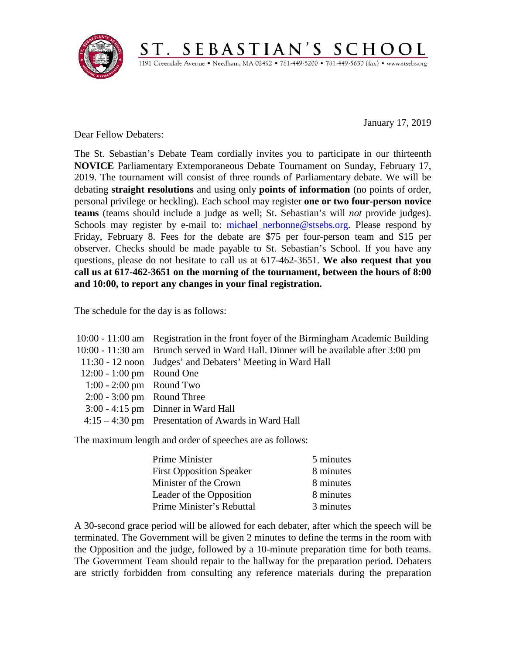

January 17, 2019

Dear Fellow Debaters:

The St. Sebastian's Debate Team cordially invites you to participate in our thirteenth **NOVICE** Parliamentary Extemporaneous Debate Tournament on Sunday, February 17, 2019. The tournament will consist of three rounds of Parliamentary debate. We will be debating **straight resolutions** and using only **points of information** (no points of order, personal privilege or heckling). Each school may register **one or two four-person novice teams** (teams should include a judge as well; St. Sebastian's will *not* provide judges). Schools may register by e-mail to: michael nerbonne@stsebs.org. Please respond by Friday, February 8. Fees for the debate are \$75 per four-person team and \$15 per observer. Checks should be made payable to St. Sebastian's School. If you have any questions, please do not hesitate to call us at 617-462-3651. **We also request that you call us at 617-462-3651 on the morning of the tournament, between the hours of 8:00 and 10:00, to report any changes in your final registration.**

ST. SEBASTIAN'S SCHOOL 1191 Greendale Avenue · Needham, MA 02492 · 781-449-5200 · 781-449-5630 (fax) · www.stsebs.org

The schedule for the day is as follows:

|                              | 10:00 - 11:00 am Registration in the front foyer of the Birmingham Academic Building |
|------------------------------|--------------------------------------------------------------------------------------|
|                              | 10:00 - 11:30 am Brunch served in Ward Hall. Dinner will be available after 3:00 pm  |
|                              | 11:30 - 12 noon Judges' and Debaters' Meeting in Ward Hall                           |
| 12:00 - 1:00 pm Round One    |                                                                                      |
| $1:00 - 2:00$ pm Round Two   |                                                                                      |
| $2:00 - 3:00$ pm Round Three |                                                                                      |
|                              | $3:00 - 4:15$ pm Dinner in Ward Hall                                                 |
|                              | $4:15-4:30$ pm Presentation of Awards in Ward Hall                                   |
|                              |                                                                                      |

The maximum length and order of speeches are as follows:

| <b>Prime Minister</b>           | 5 minutes |
|---------------------------------|-----------|
| <b>First Opposition Speaker</b> | 8 minutes |
| Minister of the Crown           | 8 minutes |
| Leader of the Opposition        | 8 minutes |
| Prime Minister's Rebuttal       | 3 minutes |

A 30-second grace period will be allowed for each debater, after which the speech will be terminated. The Government will be given 2 minutes to define the terms in the room with the Opposition and the judge, followed by a 10-minute preparation time for both teams. The Government Team should repair to the hallway for the preparation period. Debaters are strictly forbidden from consulting any reference materials during the preparation